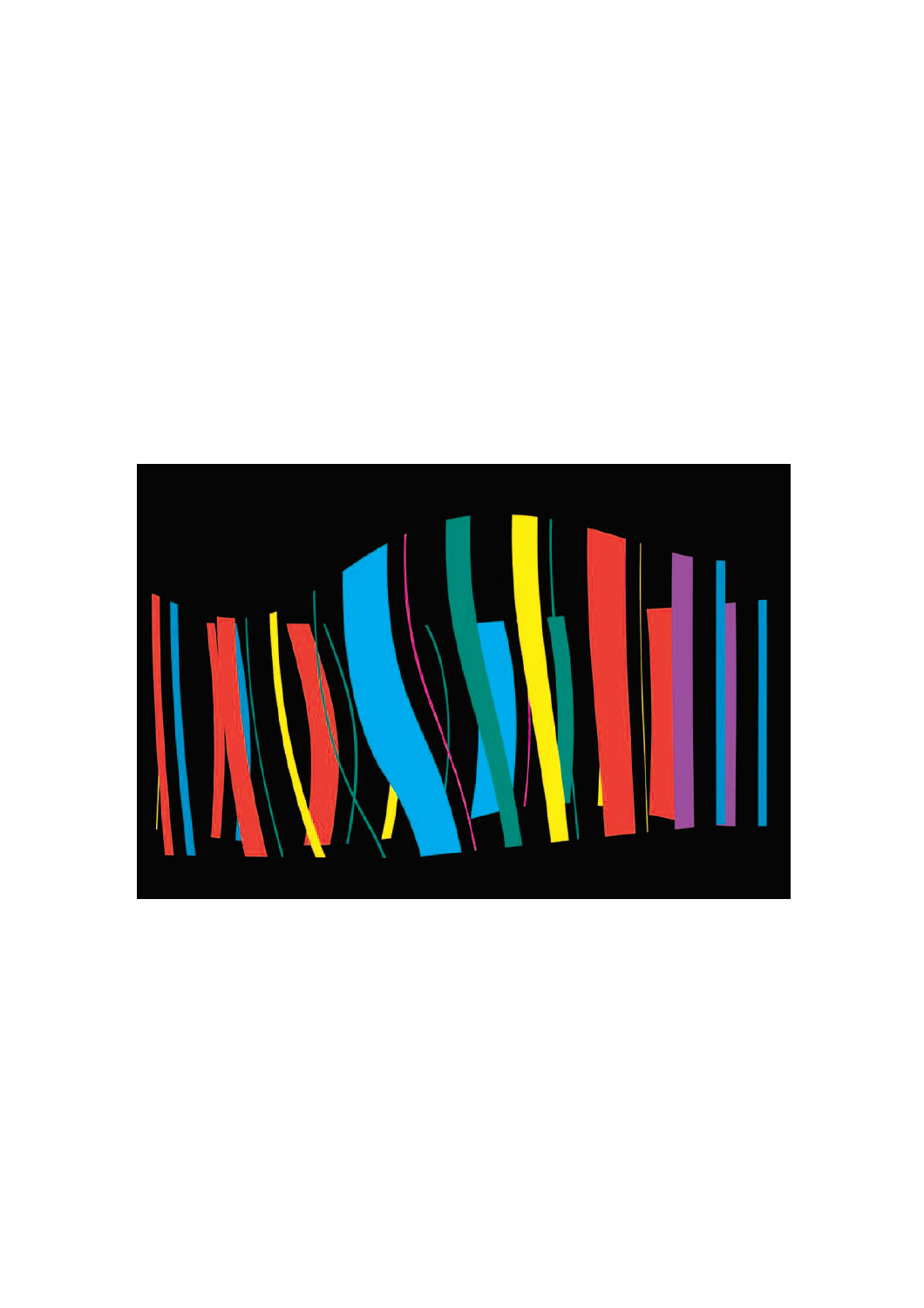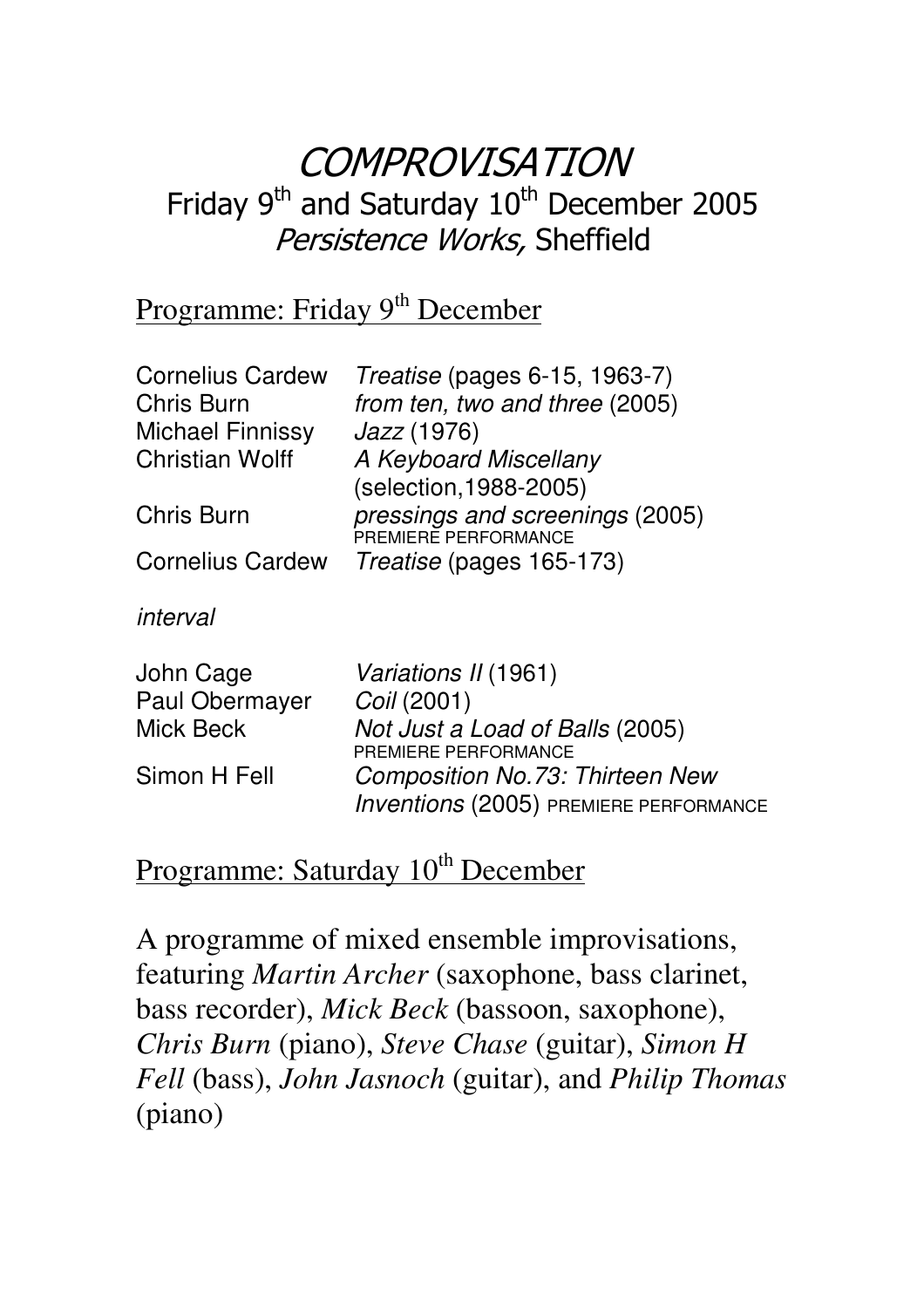## COMPROVISATION

## Friday  $9<sup>th</sup>$  and Saturday  $10<sup>th</sup>$  December 2005 Persistence Works, Sheffield

## Programme: Friday 9<sup>th</sup> December

| <b>Cornelius Cardew</b><br><b>Chris Burn</b><br><b>Michael Finnissy</b> | <i>Treatise</i> (pages 6-15, 1963-7)<br>from ten, two and three (2005)<br><i>Jazz</i> (1976) |
|-------------------------------------------------------------------------|----------------------------------------------------------------------------------------------|
| <b>Christian Wolff</b>                                                  | A Keyboard Miscellany<br>(selection, 1988-2005)                                              |
| <b>Chris Burn</b>                                                       | pressings and screenings (2005)<br>PREMIERE PERFORMANCE                                      |
| <b>Cornelius Cardew</b>                                                 | Treatise (pages 165-173)                                                                     |

interval

| John Cage      | Variations II (1961)                                    |
|----------------|---------------------------------------------------------|
| Paul Obermayer | Coil (2001)                                             |
| Mick Beck      | Not Just a Load of Balls (2005)<br>PREMIERE PERFORMANCE |
| Simon H Fell   | <b>Composition No.73: Thirteen New</b>                  |
|                | <b>Inventions (2005) PREMIERE PERFORMANCE</b>           |

## Programme: Saturday 10<sup>th</sup> December

A programme of mixed ensemble improvisations, featuring *Martin Archer* (saxophone, bass clarinet, bass recorder), *Mick Beck* (bassoon, saxophone), *Chris Burn* (piano), *Steve Chase* (guitar), *Simon H Fell* (bass), *John Jasnoch* (guitar), and *Philip Thomas*  (piano)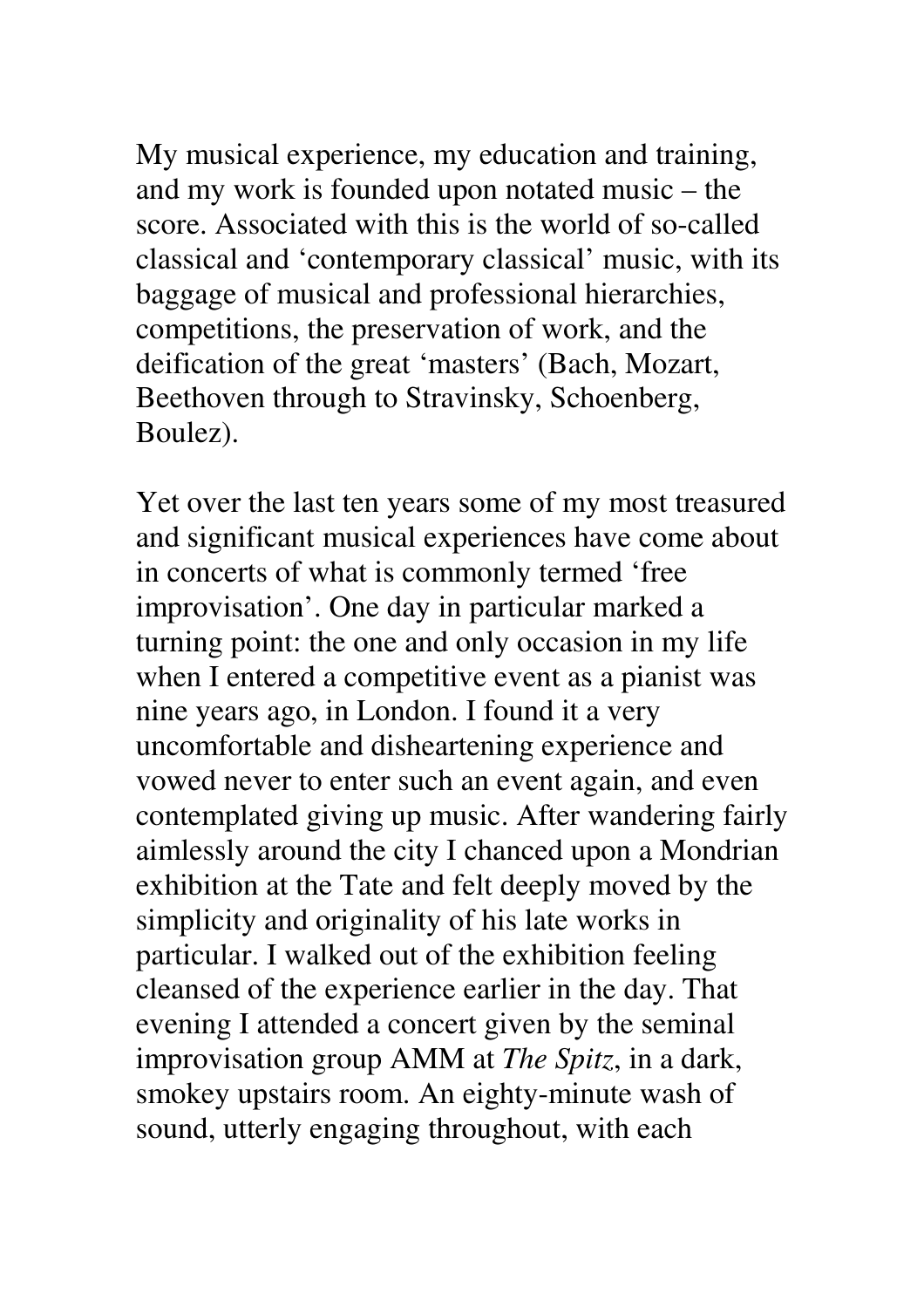My musical experience, my education and training, and my work is founded upon notated music – the score. Associated with this is the world of so-called classical and 'contemporary classical' music, with its baggage of musical and professional hierarchies, competitions, the preservation of work, and the deification of the great 'masters' (Bach, Mozart, Beethoven through to Stravinsky, Schoenberg, Boulez).

Yet over the last ten years some of my most treasured and significant musical experiences have come about in concerts of what is commonly termed 'free improvisation'. One day in particular marked a turning point: the one and only occasion in my life when I entered a competitive event as a pianist was nine years ago, in London. I found it a very uncomfortable and disheartening experience and vowed never to enter such an event again, and even contemplated giving up music. After wandering fairly aimlessly around the city I chanced upon a Mondrian exhibition at the Tate and felt deeply moved by the simplicity and originality of his late works in particular. I walked out of the exhibition feeling cleansed of the experience earlier in the day. That evening I attended a concert given by the seminal improvisation group AMM at *The Spitz*, in a dark, smokey upstairs room. An eighty-minute wash of sound, utterly engaging throughout, with each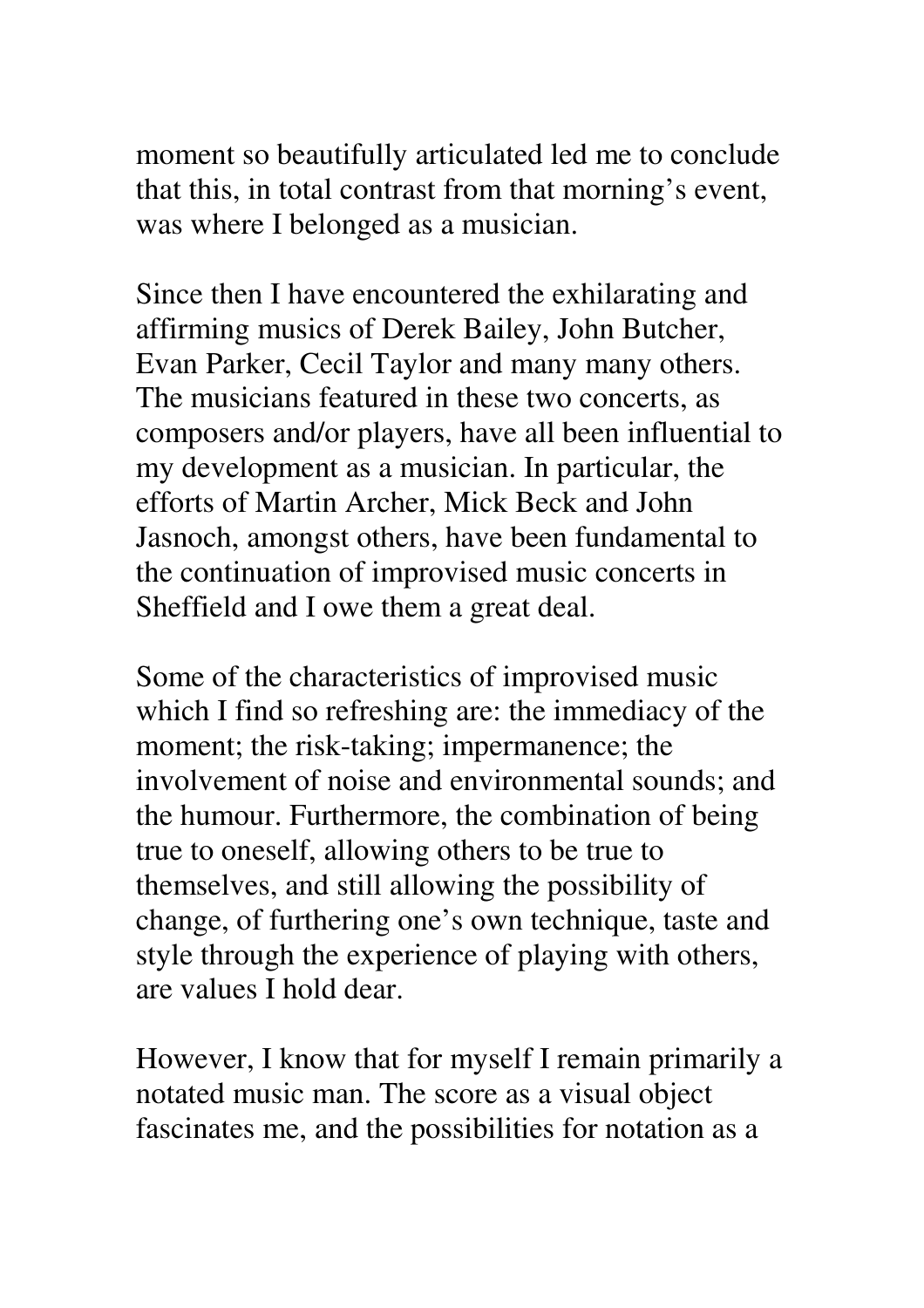moment so beautifully articulated led me to conclude that this, in total contrast from that morning's event, was where I belonged as a musician.

Since then I have encountered the exhilarating and affirming musics of Derek Bailey, John Butcher, Evan Parker, Cecil Taylor and many many others. The musicians featured in these two concerts, as composers and/or players, have all been influential to my development as a musician. In particular, the efforts of Martin Archer, Mick Beck and John Jasnoch, amongst others, have been fundamental to the continuation of improvised music concerts in Sheffield and I owe them a great deal.

Some of the characteristics of improvised music which I find so refreshing are: the immediacy of the moment; the risk-taking; impermanence; the involvement of noise and environmental sounds; and the humour. Furthermore, the combination of being true to oneself, allowing others to be true to themselves, and still allowing the possibility of change, of furthering one's own technique, taste and style through the experience of playing with others, are values I hold dear.

However, I know that for myself I remain primarily a notated music man. The score as a visual object fascinates me, and the possibilities for notation as a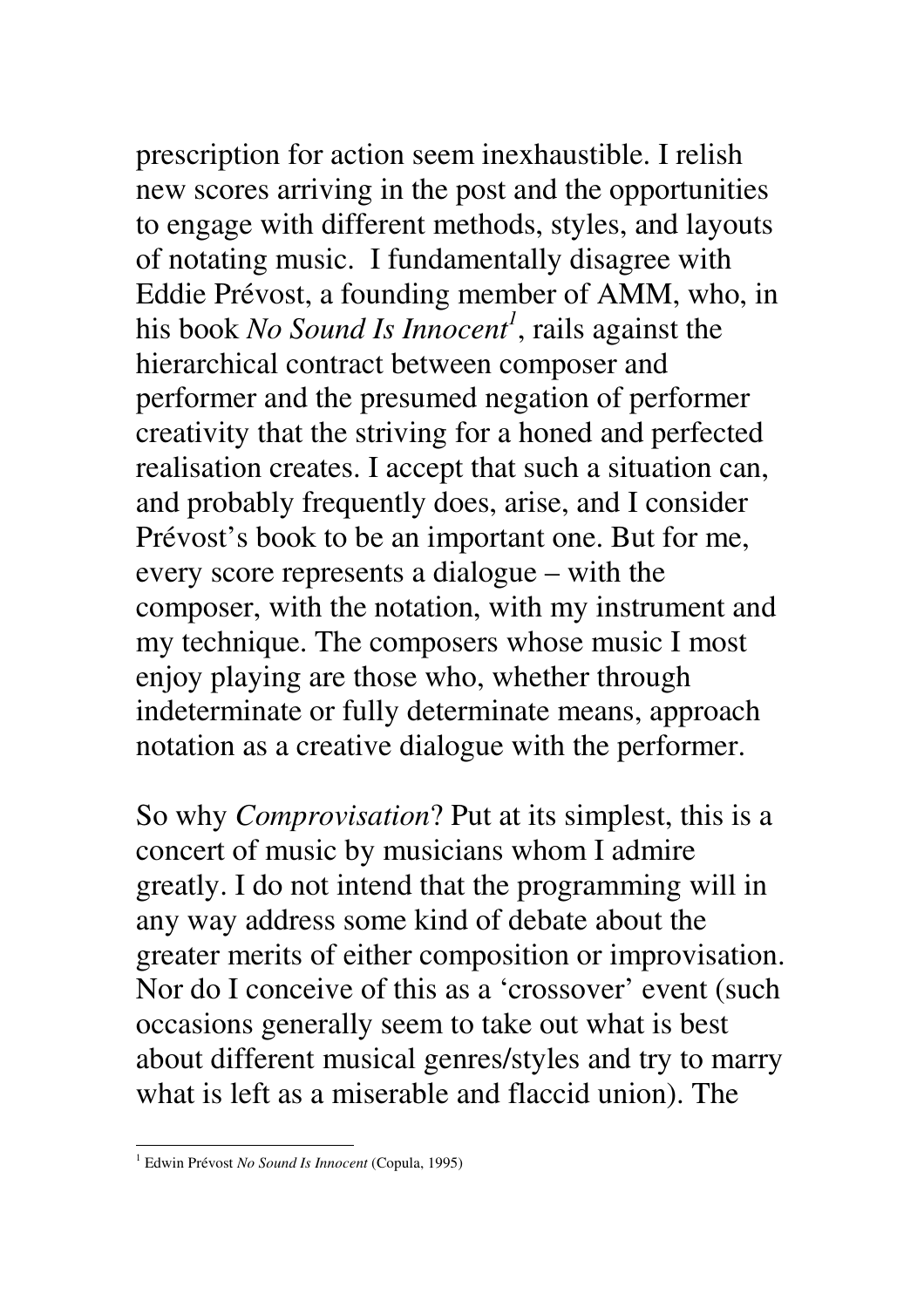prescription for action seem inexhaustible. I relish new scores arriving in the post and the opportunities to engage with different methods, styles, and layouts of notating music. I fundamentally disagree with Eddie Prévost, a founding member of AMM, who, in his book *No Sound Is Innocent<sup>1</sup>* , rails against the hierarchical contract between composer and performer and the presumed negation of performer creativity that the striving for a honed and perfected realisation creates. I accept that such a situation can, and probably frequently does, arise, and I consider Prévost's book to be an important one. But for me, every score represents a dialogue – with the composer, with the notation, with my instrument and my technique. The composers whose music I most enjoy playing are those who, whether through indeterminate or fully determinate means, approach notation as a creative dialogue with the performer.

So why *Comprovisation*? Put at its simplest, this is a concert of music by musicians whom I admire greatly. I do not intend that the programming will in any way address some kind of debate about the greater merits of either composition or improvisation. Nor do I conceive of this as a 'crossover' event (such occasions generally seem to take out what is best about different musical genres/styles and try to marry what is left as a miserable and flaccid union). The

l

<sup>1</sup> Edwin Prévost *No Sound Is Innocent* (Copula, 1995)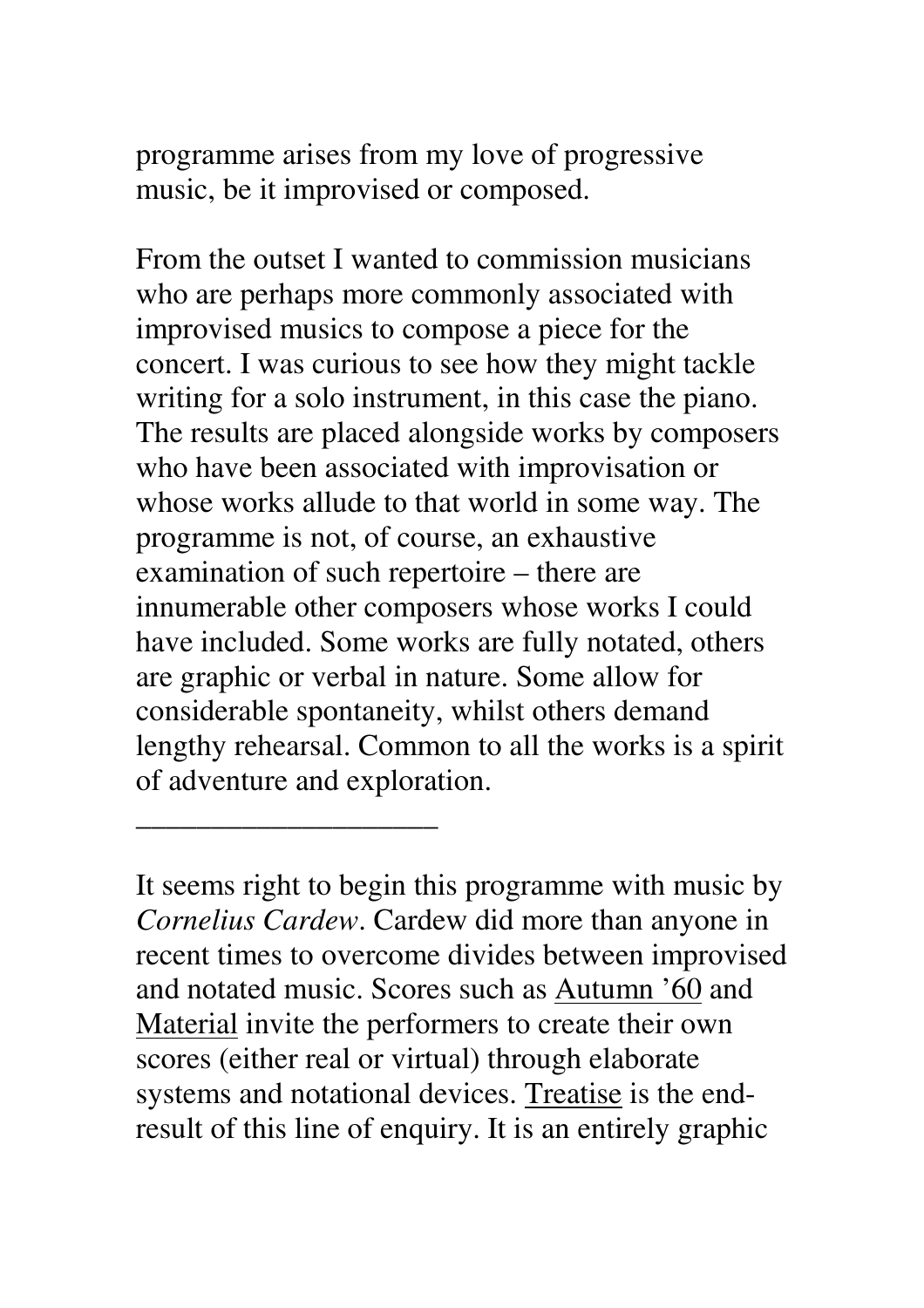programme arises from my love of progressive music, be it improvised or composed.

From the outset I wanted to commission musicians who are perhaps more commonly associated with improvised musics to compose a piece for the concert. I was curious to see how they might tackle writing for a solo instrument, in this case the piano. The results are placed alongside works by composers who have been associated with improvisation or whose works allude to that world in some way. The programme is not, of course, an exhaustive examination of such repertoire – there are innumerable other composers whose works I could have included. Some works are fully notated, others are graphic or verbal in nature. Some allow for considerable spontaneity, whilst others demand lengthy rehearsal. Common to all the works is a spirit of adventure and exploration.

It seems right to begin this programme with music by *Cornelius Cardew*. Cardew did more than anyone in recent times to overcome divides between improvised and notated music. Scores such as Autumn '60 and Material invite the performers to create their own scores (either real or virtual) through elaborate systems and notational devices. Treatise is the endresult of this line of enquiry. It is an entirely graphic

\_\_\_\_\_\_\_\_\_\_\_\_\_\_\_\_\_\_\_\_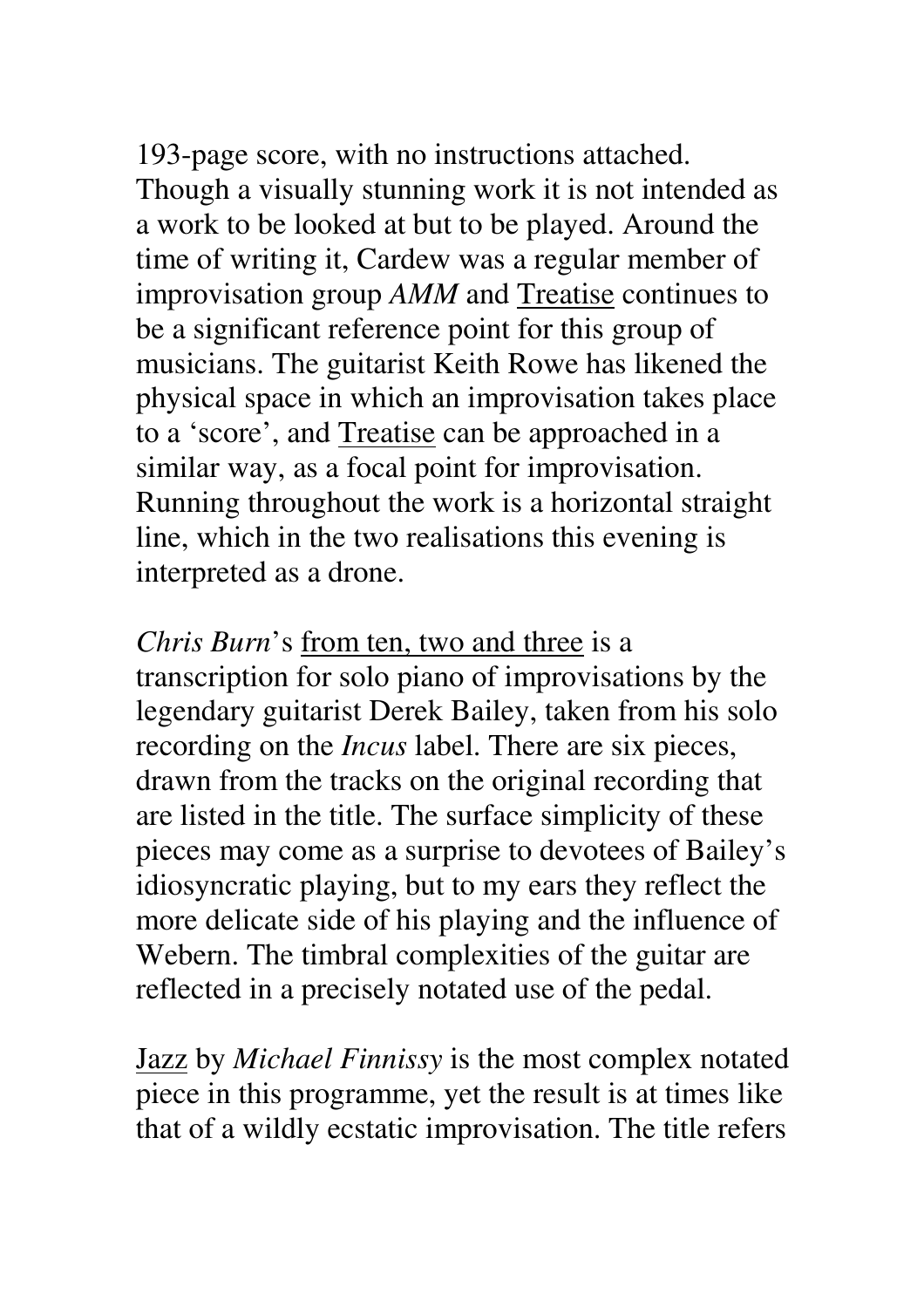193-page score, with no instructions attached. Though a visually stunning work it is not intended as a work to be looked at but to be played. Around the time of writing it, Cardew was a regular member of improvisation group *AMM* and Treatise continues to be a significant reference point for this group of musicians. The guitarist Keith Rowe has likened the physical space in which an improvisation takes place to a 'score', and Treatise can be approached in a similar way, as a focal point for improvisation. Running throughout the work is a horizontal straight line, which in the two realisations this evening is interpreted as a drone.

*Chris Burn*'s from ten, two and three is a transcription for solo piano of improvisations by the legendary guitarist Derek Bailey, taken from his solo recording on the *Incus* label. There are six pieces, drawn from the tracks on the original recording that are listed in the title. The surface simplicity of these pieces may come as a surprise to devotees of Bailey's idiosyncratic playing, but to my ears they reflect the more delicate side of his playing and the influence of Webern. The timbral complexities of the guitar are reflected in a precisely notated use of the pedal.

Jazz by *Michael Finnissy* is the most complex notated piece in this programme, yet the result is at times like that of a wildly ecstatic improvisation. The title refers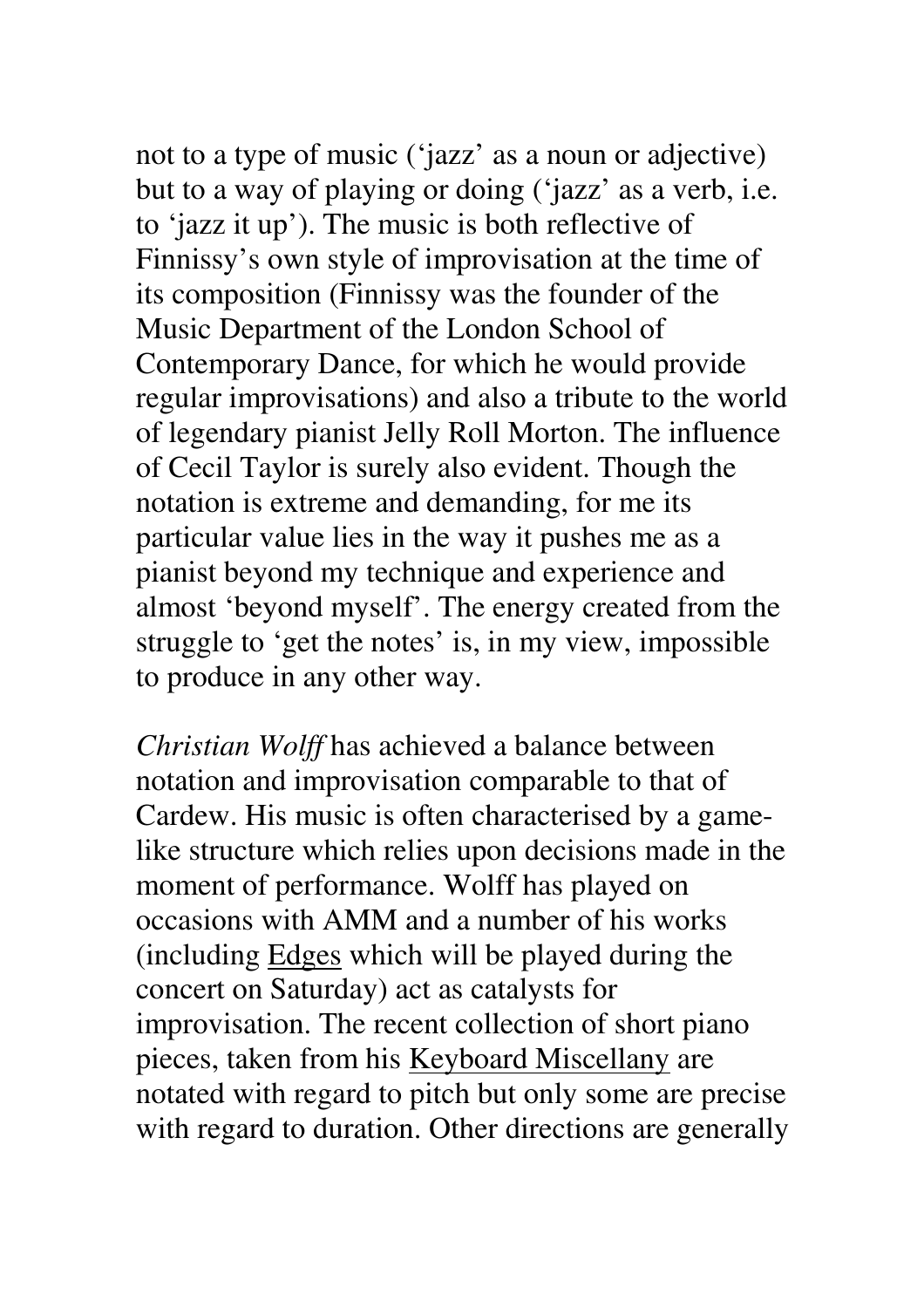not to a type of music ('jazz' as a noun or adjective) but to a way of playing or doing ('jazz' as a verb, i.e. to 'jazz it up'). The music is both reflective of Finnissy's own style of improvisation at the time of its composition (Finnissy was the founder of the Music Department of the London School of Contemporary Dance, for which he would provide regular improvisations) and also a tribute to the world of legendary pianist Jelly Roll Morton. The influence of Cecil Taylor is surely also evident. Though the notation is extreme and demanding, for me its particular value lies in the way it pushes me as a pianist beyond my technique and experience and almost 'beyond myself'. The energy created from the struggle to 'get the notes' is, in my view, impossible to produce in any other way.

*Christian Wolff* has achieved a balance between notation and improvisation comparable to that of Cardew. His music is often characterised by a gamelike structure which relies upon decisions made in the moment of performance. Wolff has played on occasions with AMM and a number of his works (including Edges which will be played during the concert on Saturday) act as catalysts for improvisation. The recent collection of short piano pieces, taken from his Keyboard Miscellany are notated with regard to pitch but only some are precise with regard to duration. Other directions are generally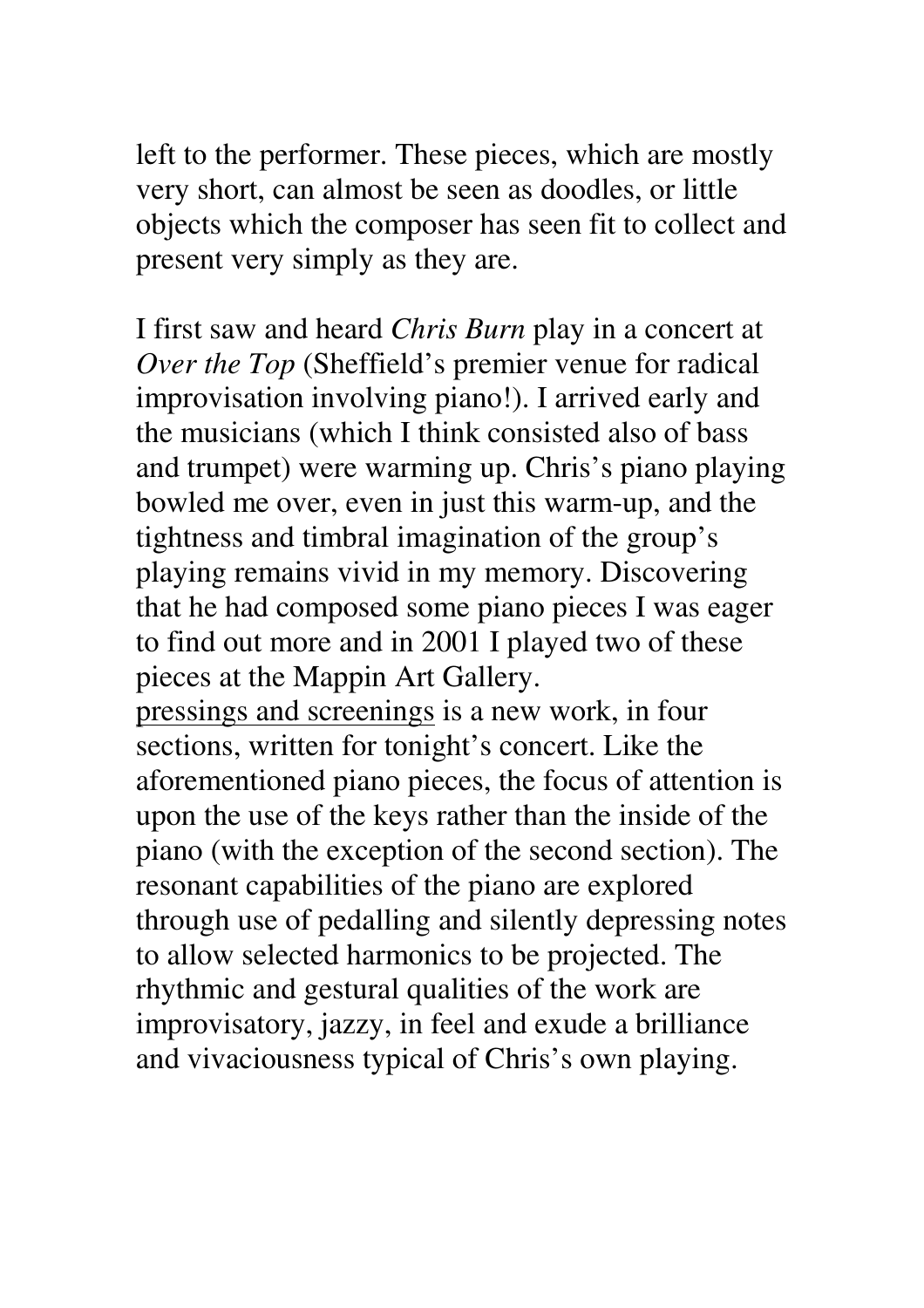left to the performer. These pieces, which are mostly very short, can almost be seen as doodles, or little objects which the composer has seen fit to collect and present very simply as they are.

I first saw and heard *Chris Burn* play in a concert at *Over the Top* (Sheffield's premier venue for radical improvisation involving piano!). I arrived early and the musicians (which I think consisted also of bass and trumpet) were warming up. Chris's piano playing bowled me over, even in just this warm-up, and the tightness and timbral imagination of the group's playing remains vivid in my memory. Discovering that he had composed some piano pieces I was eager to find out more and in 2001 I played two of these pieces at the Mappin Art Gallery.

pressings and screenings is a new work, in four sections, written for tonight's concert. Like the aforementioned piano pieces, the focus of attention is upon the use of the keys rather than the inside of the piano (with the exception of the second section). The resonant capabilities of the piano are explored through use of pedalling and silently depressing notes to allow selected harmonics to be projected. The rhythmic and gestural qualities of the work are improvisatory, jazzy, in feel and exude a brilliance and vivaciousness typical of Chris's own playing.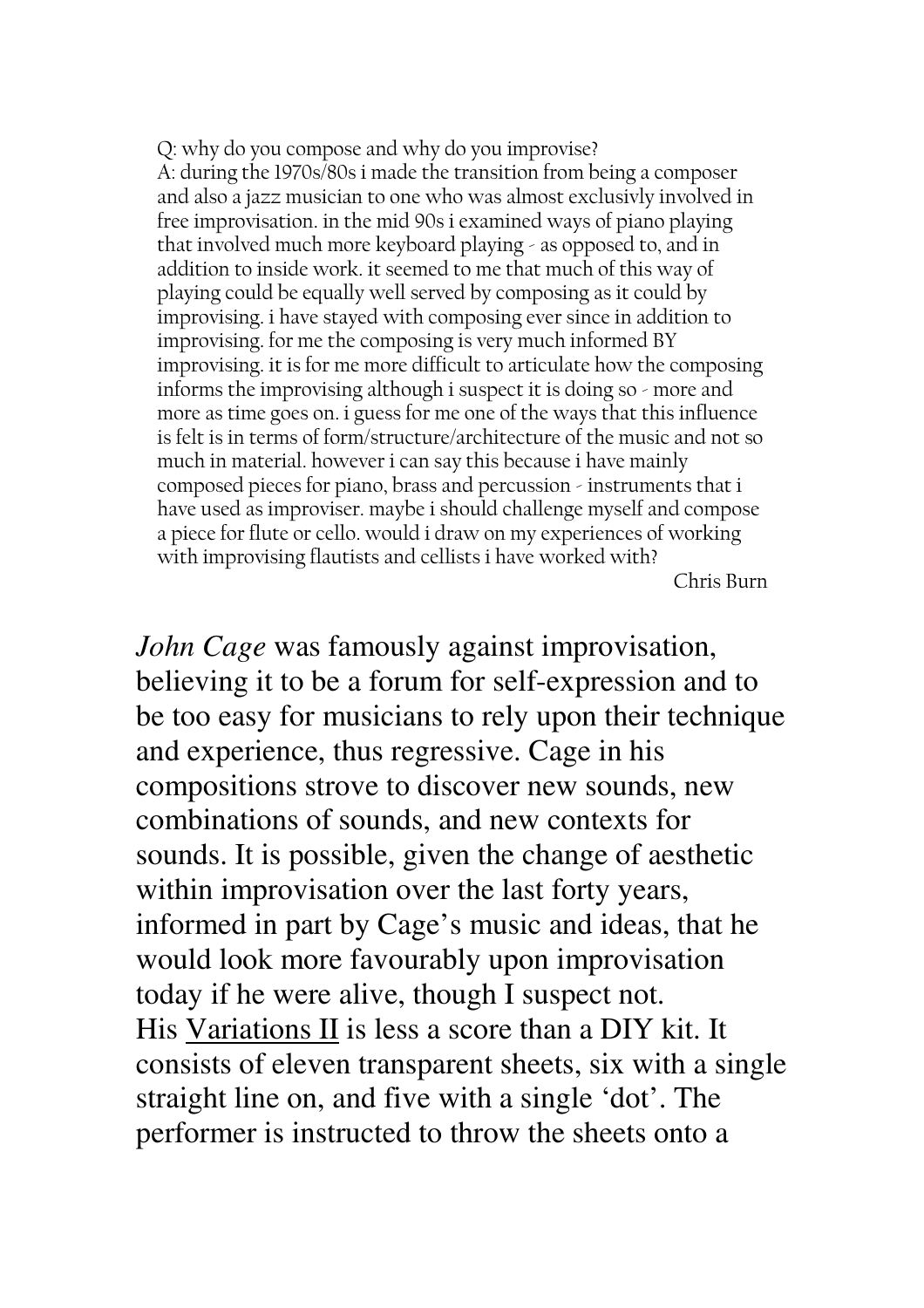Q: why do you compose and why do you improvise? A: during the 1970s/80s i made the transition from being a composer and also a jazz musician to one who was almost exclusivly involved in free improvisation. in the mid 90s i examined ways of piano playing that involved much more keyboard playing - as opposed to, and in addition to inside work. it seemed to me that much of this way of playing could be equally well served by composing as it could by improvising. i have stayed with composing ever since in addition to improvising. for me the composing is very much informed BY improvising. it is for me more difficult to articulate how the composing informs the improvising although i suspect it is doing so - more and more as time goes on. i guess for me one of the ways that this influence is felt is in terms of form/structure/architecture of the music and not so much in material. however i can say this because i have mainly composed pieces for piano, brass and percussion - instruments that i have used as improviser. maybe i should challenge myself and compose a piece for flute or cello. would i draw on my experiences of working with improvising flautists and cellists i have worked with? Chris Burn

*John Cage* was famously against improvisation, believing it to be a forum for self-expression and to be too easy for musicians to rely upon their technique and experience, thus regressive. Cage in his compositions strove to discover new sounds, new combinations of sounds, and new contexts for sounds. It is possible, given the change of aesthetic within improvisation over the last forty years, informed in part by Cage's music and ideas, that he would look more favourably upon improvisation today if he were alive, though I suspect not. His Variations II is less a score than a DIY kit. It consists of eleven transparent sheets, six with a single straight line on, and five with a single 'dot'. The performer is instructed to throw the sheets onto a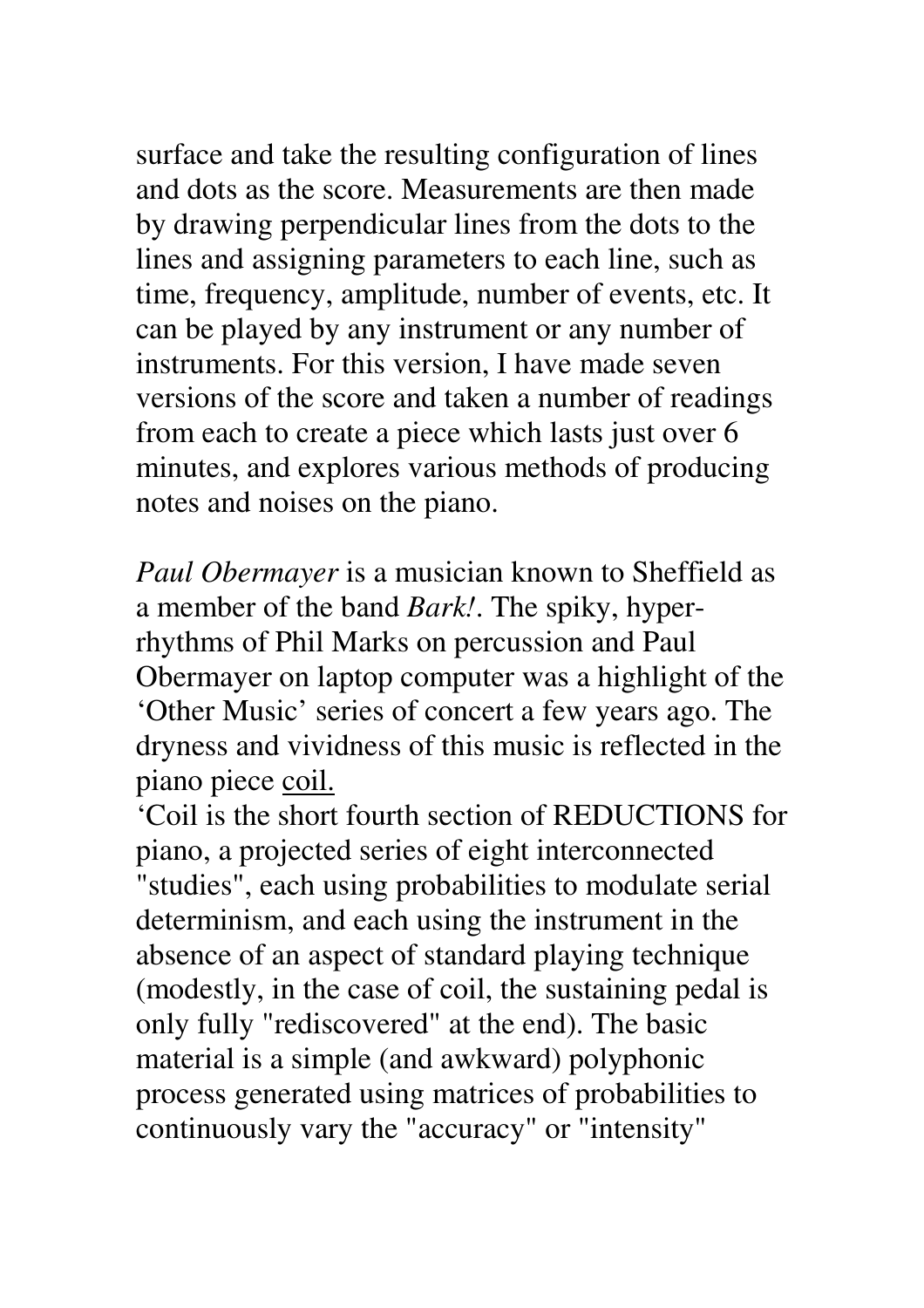surface and take the resulting configuration of lines and dots as the score. Measurements are then made by drawing perpendicular lines from the dots to the lines and assigning parameters to each line, such as time, frequency, amplitude, number of events, etc. It can be played by any instrument or any number of instruments. For this version, I have made seven versions of the score and taken a number of readings from each to create a piece which lasts just over 6 minutes, and explores various methods of producing notes and noises on the piano.

*Paul Obermayer* is a musician known to Sheffield as a member of the band *Bark!*. The spiky, hyperrhythms of Phil Marks on percussion and Paul Obermayer on laptop computer was a highlight of the 'Other Music' series of concert a few years ago. The dryness and vividness of this music is reflected in the piano piece coil.

'Coil is the short fourth section of REDUCTIONS for piano, a projected series of eight interconnected "studies", each using probabilities to modulate serial determinism, and each using the instrument in the absence of an aspect of standard playing technique (modestly, in the case of coil, the sustaining pedal is only fully "rediscovered" at the end). The basic material is a simple (and awkward) polyphonic process generated using matrices of probabilities to continuously vary the "accuracy" or "intensity"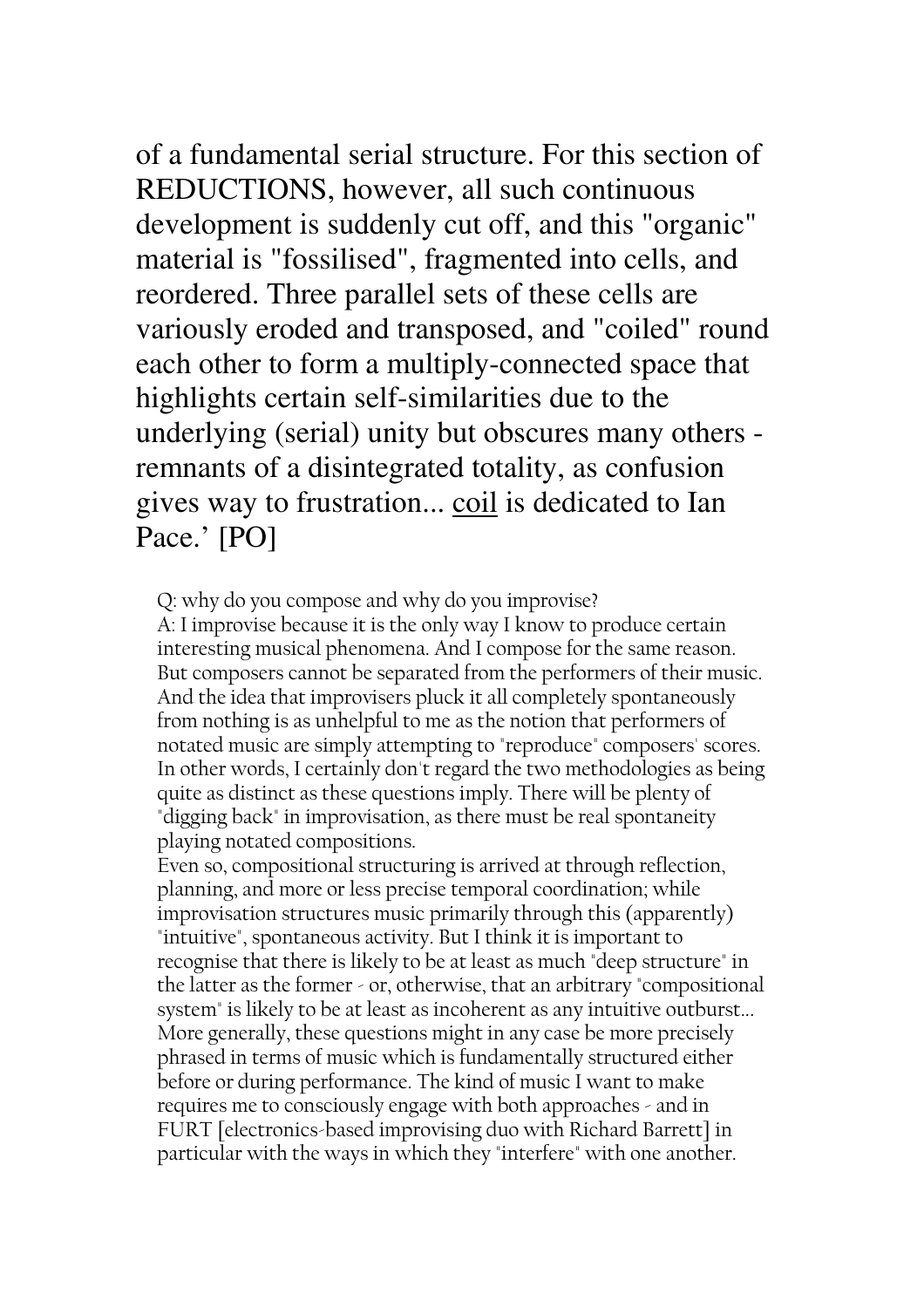of a fundamental serial structure. For this section of REDUCTIONS, however, all such continuous development is suddenly cut off, and this "organic" material is "fossilised", fragmented into cells, and reordered. Three parallel sets of these cells are variously eroded and transposed, and "coiled" round each other to form a multiply-connected space that highlights certain self-similarities due to the underlying (serial) unity but obscures many others remnants of a disintegrated totality, as confusion gives way to frustration... coil is dedicated to Ian Pace.' [PO]

Q: why do you compose and why do you improvise?

A: I improvise because it is the only way I know to produce certain interesting musical phenomena. And I compose for the same reason. But composers cannot be separated from the performers of their music. And the idea that improvisers pluck it all completely spontaneously from nothing is as unhelpful to me as the notion that performers of notated music are simply attempting to "reproduce" composers' scores. In other words, I certainly don't regard the two methodologies as being quite as distinct as these questions imply. There will be plenty of "digging back" in improvisation, as there must be real spontaneity playing notated compositions.

Even so, compositional structuring is arrived at through reflection, planning, and more or less precise temporal coordination; while improvisation structures music primarily through this (apparently) "intuitive", spontaneous activity. But I think it is important to recognise that there is likely to be at least as much "deep structure" in the latter as the former - or, otherwise, that an arbitrary "compositional system" is likely to be at least as incoherent as any intuitive outburst... More generally, these questions might in any case be more precisely phrased in terms of music which is fundamentally structured either before or during performance. The kind of music I want to make requires me to consciously engage with both approaches - and in FURT [electronics-based improvising duo with Richard Barrett] in particular with the ways in which they "interfere" with one another.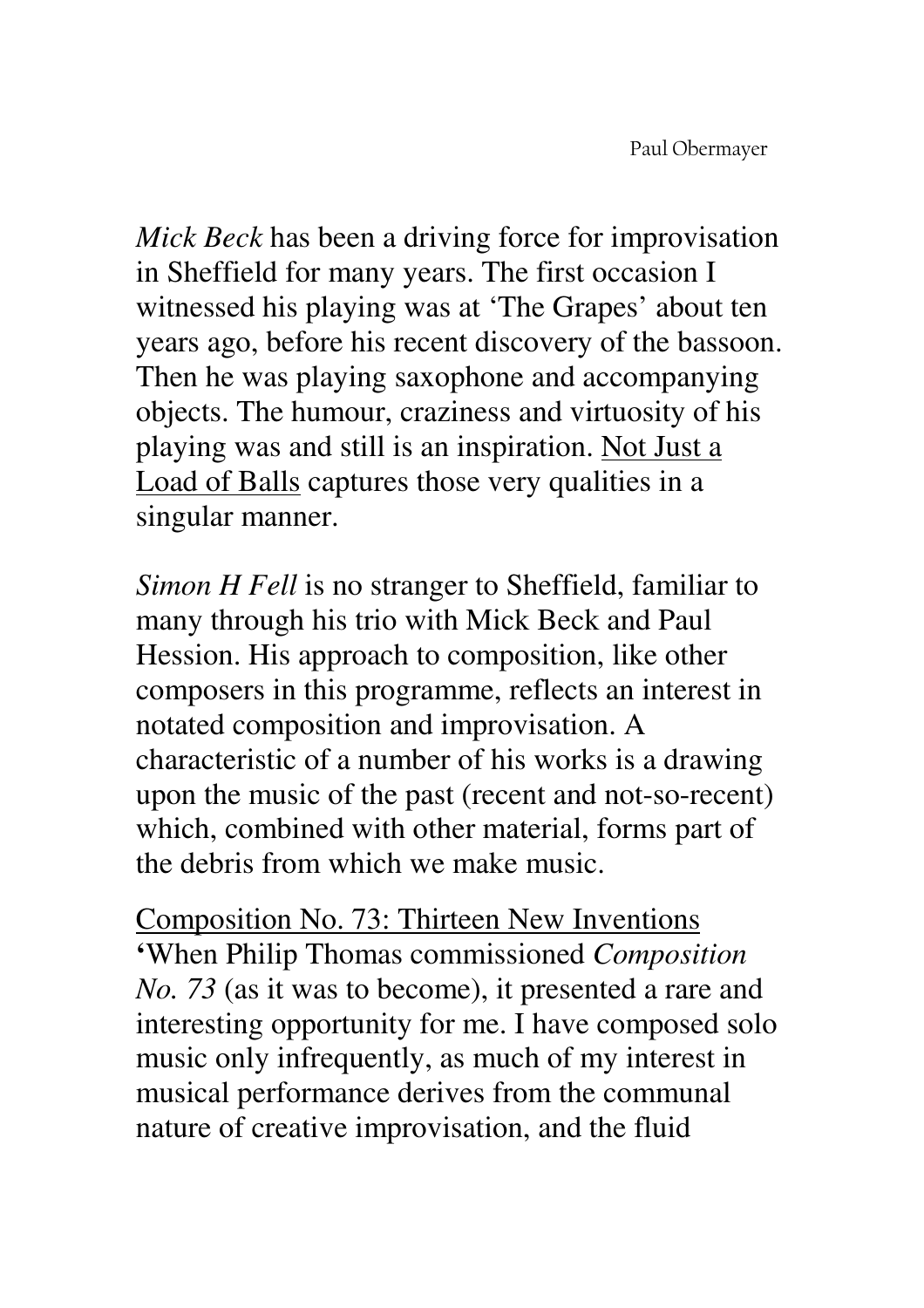*Mick Beck* has been a driving force for improvisation in Sheffield for many years. The first occasion I witnessed his playing was at 'The Grapes' about ten years ago, before his recent discovery of the bassoon. Then he was playing saxophone and accompanying objects. The humour, craziness and virtuosity of his playing was and still is an inspiration. Not Just a Load of Balls captures those very qualities in a singular manner.

*Simon H Fell* is no stranger to Sheffield, familiar to many through his trio with Mick Beck and Paul Hession. His approach to composition, like other composers in this programme, reflects an interest in notated composition and improvisation. A characteristic of a number of his works is a drawing upon the music of the past (recent and not-so-recent) which, combined with other material, forms part of the debris from which we make music.

Composition No. 73: Thirteen New Inventions **'**When Philip Thomas commissioned *Composition No. 73* (as it was to become), it presented a rare and interesting opportunity for me. I have composed solo music only infrequently, as much of my interest in musical performance derives from the communal nature of creative improvisation, and the fluid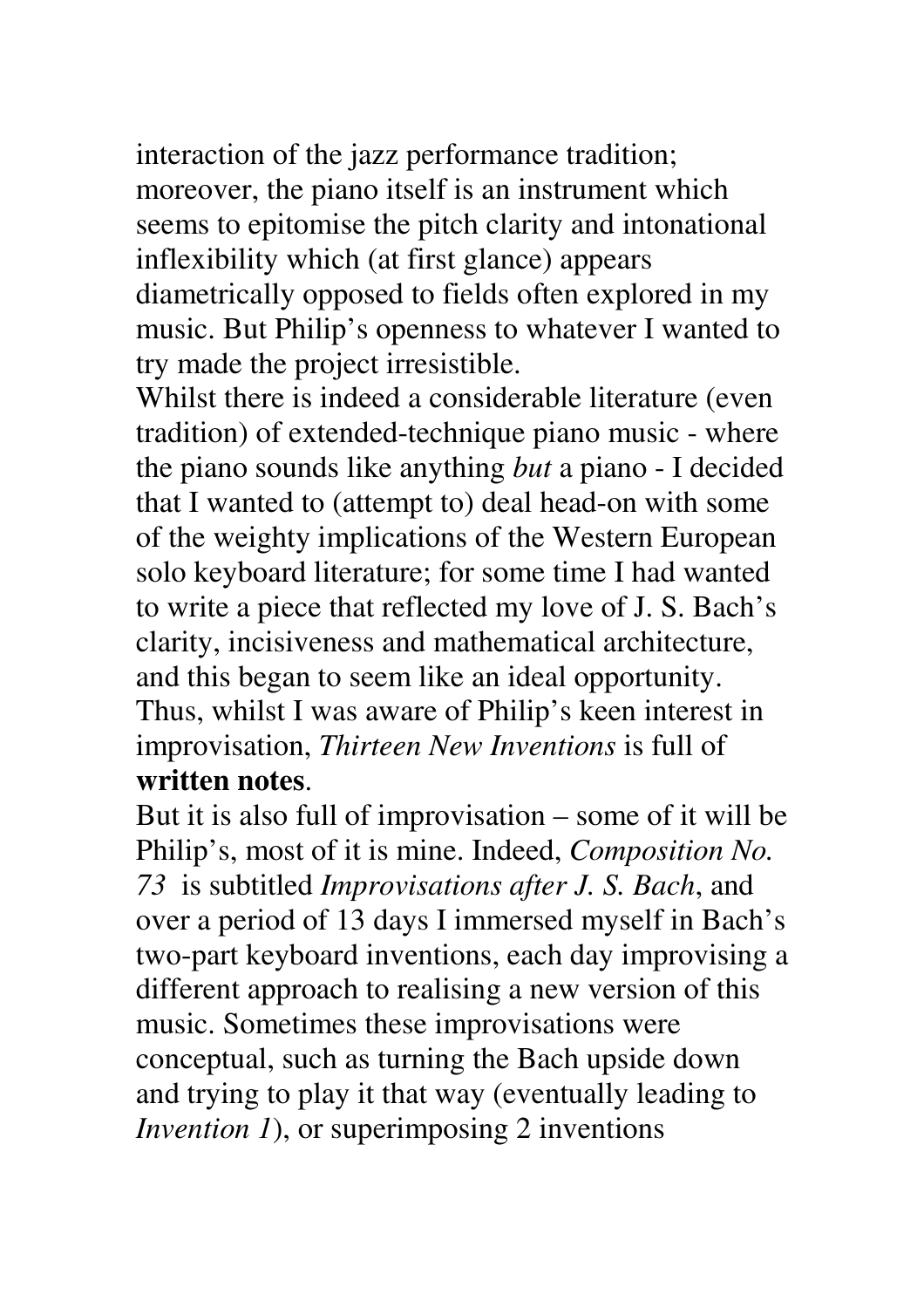interaction of the jazz performance tradition; moreover, the piano itself is an instrument which seems to epitomise the pitch clarity and intonational inflexibility which (at first glance) appears diametrically opposed to fields often explored in my music. But Philip's openness to whatever I wanted to try made the project irresistible.

Whilst there is indeed a considerable literature (even tradition) of extended-technique piano music - where the piano sounds like anything *but* a piano - I decided that I wanted to (attempt to) deal head-on with some of the weighty implications of the Western European solo keyboard literature; for some time I had wanted to write a piece that reflected my love of J. S. Bach's clarity, incisiveness and mathematical architecture, and this began to seem like an ideal opportunity. Thus, whilst I was aware of Philip's keen interest in improvisation, *Thirteen New Inventions* is full of **written notes**.

But it is also full of improvisation – some of it will be Philip's, most of it is mine. Indeed, *Composition No. 73* is subtitled *Improvisations after J. S. Bach*, and over a period of 13 days I immersed myself in Bach's two-part keyboard inventions, each day improvising a different approach to realising a new version of this music. Sometimes these improvisations were conceptual, such as turning the Bach upside down and trying to play it that way (eventually leading to *Invention 1*), or superimposing 2 inventions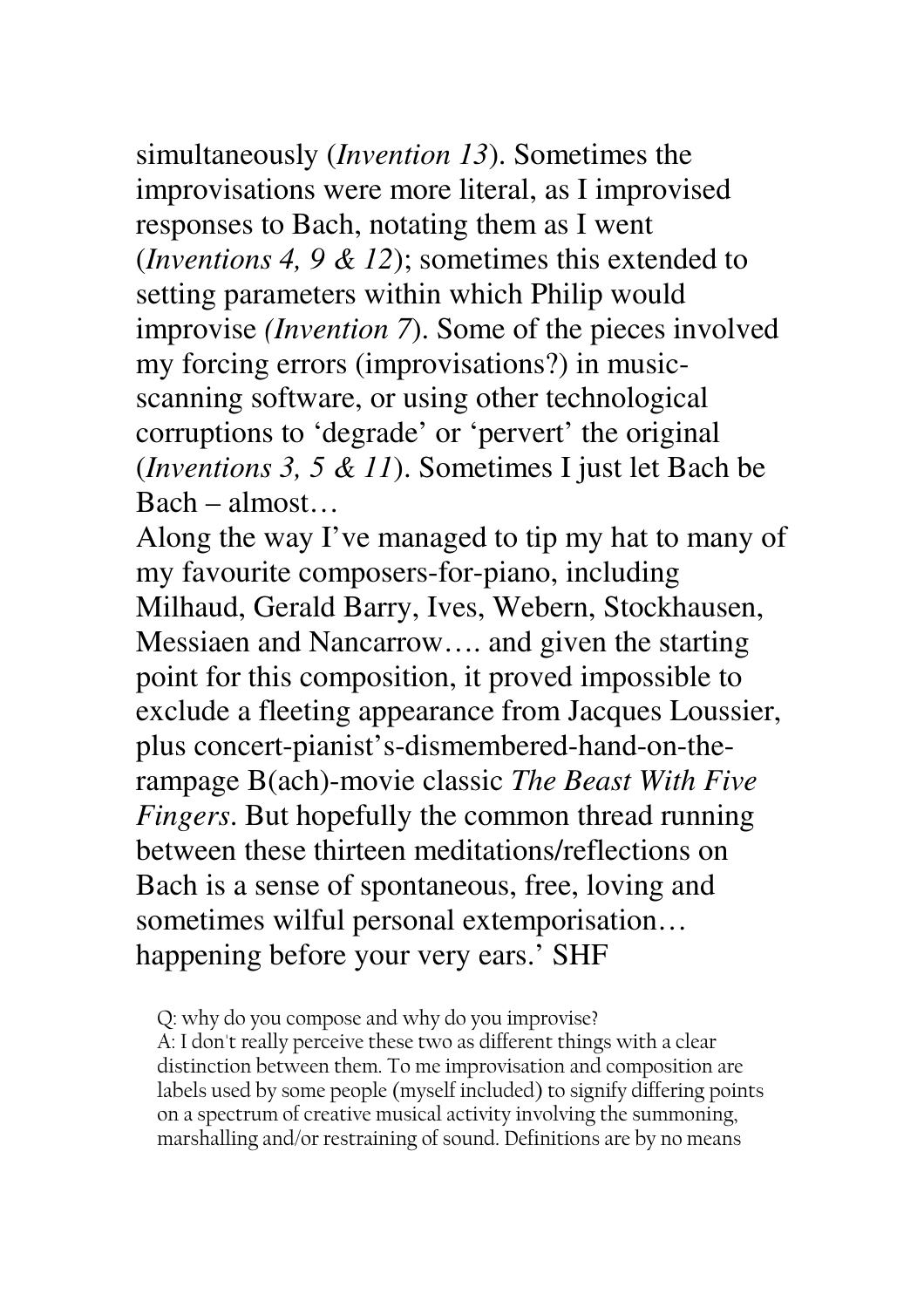simultaneously (*Invention 13*). Sometimes the improvisations were more literal, as I improvised responses to Bach, notating them as I went (*Inventions 4, 9 & 12*); sometimes this extended to setting parameters within which Philip would improvise *(Invention 7*). Some of the pieces involved my forcing errors (improvisations?) in musicscanning software, or using other technological corruptions to 'degrade' or 'pervert' the original (*Inventions 3, 5 & 11*). Sometimes I just let Bach be Bach – almost…

Along the way I've managed to tip my hat to many of my favourite composers-for-piano, including Milhaud, Gerald Barry, Ives, Webern, Stockhausen, Messiaen and Nancarrow…. and given the starting point for this composition, it proved impossible to exclude a fleeting appearance from Jacques Loussier, plus concert-pianist's-dismembered-hand-on-therampage B(ach)-movie classic *The Beast With Five Fingers*. But hopefully the common thread running between these thirteen meditations/reflections on Bach is a sense of spontaneous, free, loving and sometimes wilful personal extemporisation… happening before your very ears.' SHF

Q: why do you compose and why do you improvise?

A: I don't really perceive these two as different things with a clear distinction between them. To me improvisation and composition are labels used by some people (myself included) to signify differing points on a spectrum of creative musical activity involving the summoning, marshalling and/or restraining of sound. Definitions are by no means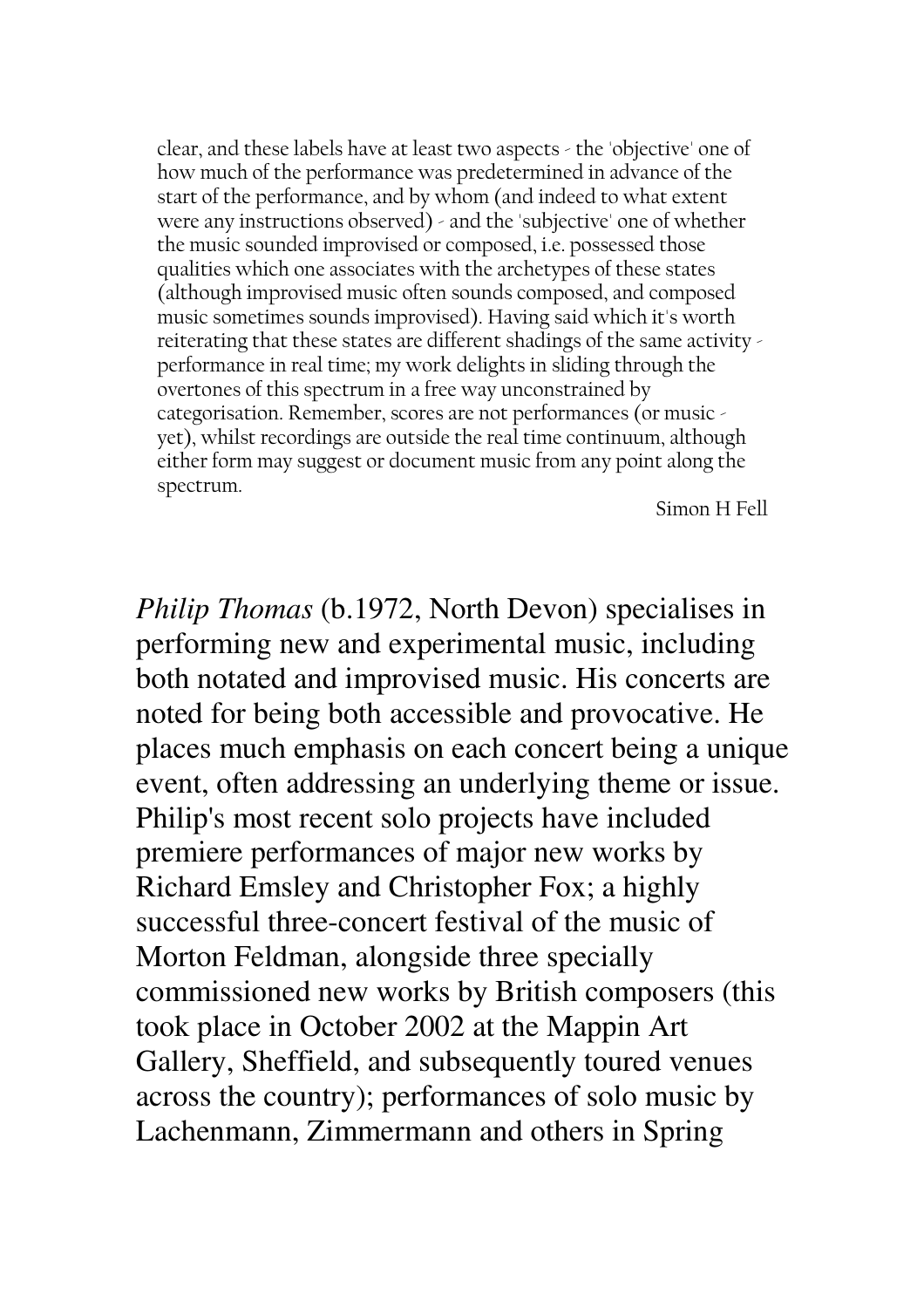clear, and these labels have at least two aspects - the 'objective' one of how much of the performance was predetermined in advance of the start of the performance, and by whom (and indeed to what extent were any instructions observed) - and the 'subjective' one of whether the music sounded improvised or composed, i.e. possessed those qualities which one associates with the archetypes of these states (although improvised music often sounds composed, and composed music sometimes sounds improvised). Having said which it's worth reiterating that these states are different shadings of the same activity performance in real time; my work delights in sliding through the overtones of this spectrum in a free way unconstrained by categorisation. Remember, scores are not performances (or music yet), whilst recordings are outside the real time continuum, although either form may suggest or document music from any point along the spectrum.

Simon H Fell

*Philip Thomas* (b.1972, North Devon) specialises in performing new and experimental music, including both notated and improvised music. His concerts are noted for being both accessible and provocative. He places much emphasis on each concert being a unique event, often addressing an underlying theme or issue. Philip's most recent solo projects have included premiere performances of major new works by Richard Emsley and Christopher Fox; a highly successful three-concert festival of the music of Morton Feldman, alongside three specially commissioned new works by British composers (this took place in October 2002 at the Mappin Art Gallery, Sheffield, and subsequently toured venues across the country); performances of solo music by Lachenmann, Zimmermann and others in Spring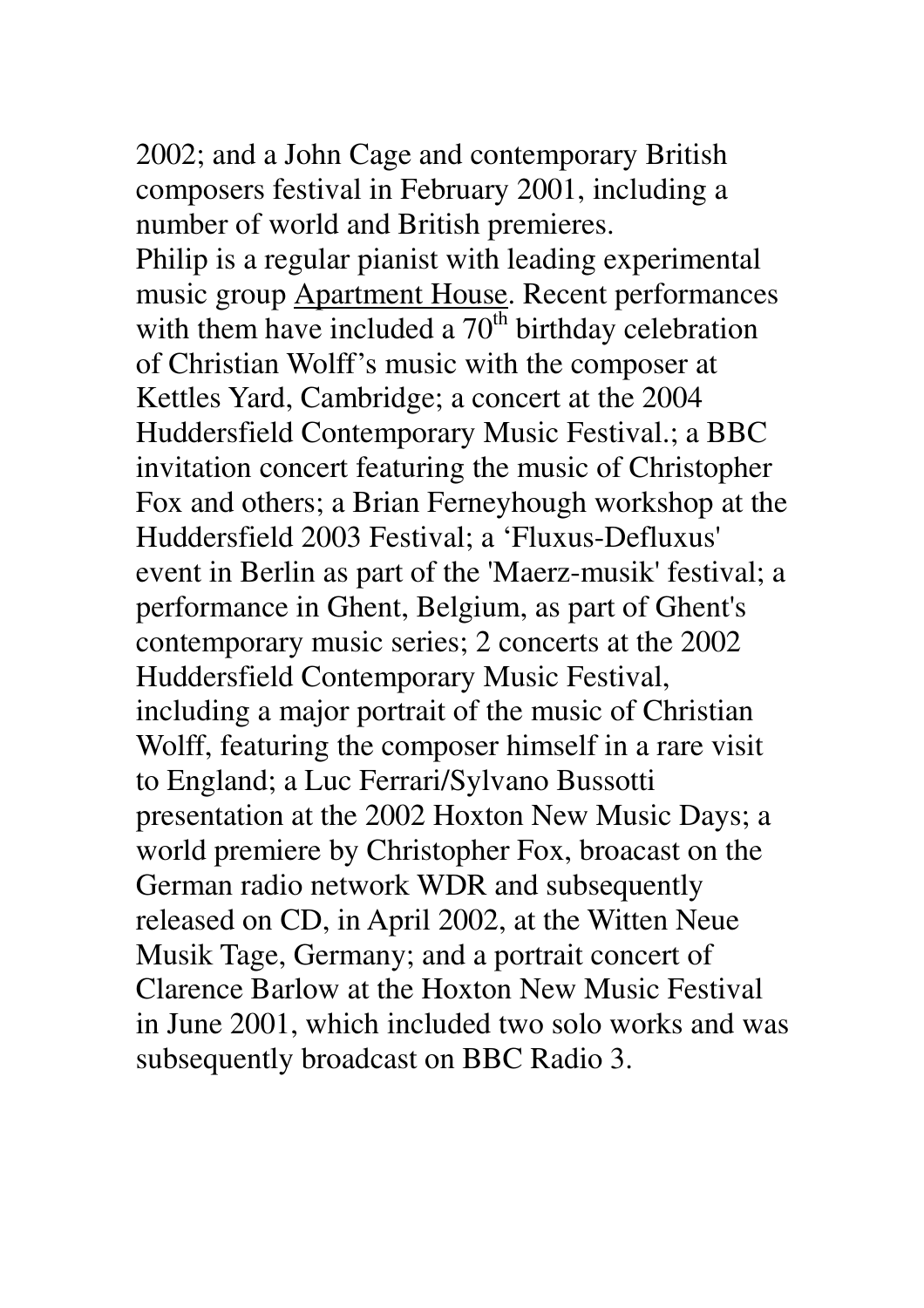2002; and a John Cage and contemporary British composers festival in February 2001, including a number of world and British premieres.

Philip is a regular pianist with leading experimental music group Apartment House. Recent performances with them have included a  $70<sup>th</sup>$  birthday celebration of Christian Wolff's music with the composer at Kettles Yard, Cambridge; a concert at the 2004 Huddersfield Contemporary Music Festival.; a BBC invitation concert featuring the music of Christopher Fox and others; a Brian Ferneyhough workshop at the Huddersfield 2003 Festival; a 'Fluxus-Defluxus' event in Berlin as part of the 'Maerz-musik' festival; a performance in Ghent, Belgium, as part of Ghent's contemporary music series; 2 concerts at the 2002 Huddersfield Contemporary Music Festival, including a major portrait of the music of Christian Wolff, featuring the composer himself in a rare visit to England; a Luc Ferrari/Sylvano Bussotti presentation at the 2002 Hoxton New Music Days; a world premiere by Christopher Fox, broacast on the German radio network WDR and subsequently released on CD, in April 2002, at the Witten Neue Musik Tage, Germany; and a portrait concert of Clarence Barlow at the Hoxton New Music Festival in June 2001, which included two solo works and was subsequently broadcast on BBC Radio 3.